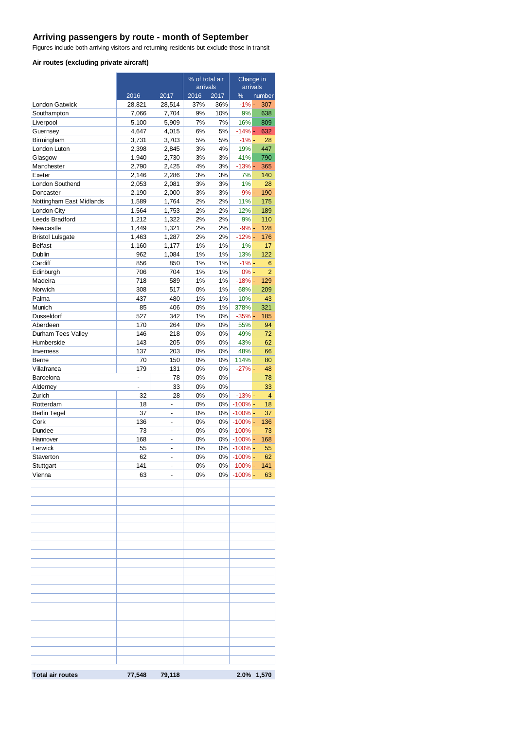# **Arriving passengers by route - month of September**

Figures include both arriving visitors and returning residents but exclude those in transit

#### **Air routes (excluding private aircraft)**

|                          |                |                          | % of total air<br>arrivals |          | Change in<br>arrivals |                       |
|--------------------------|----------------|--------------------------|----------------------------|----------|-----------------------|-----------------------|
|                          | 2016           | 2017                     | 2016                       | 2017     | %                     | number                |
| <b>London Gatwick</b>    | 28,821         | 28,514                   | 37%                        | 36%      | $-1%$ -               | 307                   |
| Southampton              | 7,066          | 7,704                    | 9%                         | 10%      | 9%                    | 638                   |
| Liverpool                | 5,100          | 5,909                    | 7%                         | 7%       | 16%                   | 809                   |
| Guernsey                 | 4.647          | 4,015                    | 6%                         | 5%       | $-14%$ -              | 632                   |
| Birmingham               | 3,731          | 3,703                    | 5%                         | 5%       | $-1% -$               | 28                    |
| London Luton             | 2,398          | 2,845                    | 3%                         | 4%       | 19%                   | 447                   |
| Glasgow                  | 1,940          | 2,730                    | 3%                         | 3%       | 41%                   | 790                   |
| Manchester               | 2,790          | 2,425                    | 4%                         | 3%       | $-13%$ -              | 365                   |
| Exeter                   | 2,146          | 2,286                    | 3%                         | 3%       | 7%                    | 140                   |
| London Southend          | 2,053          | 2,081                    | 3%                         | 3%       | 1%                    | 28                    |
| Doncaster                | 2,190          | 2,000                    | 3%                         | 3%       | $-9% -$               | 190                   |
| Nottingham East Midlands | 1,589          | 1,764                    | 2%                         | 2%       | 11%                   | 175                   |
| London City              | 1,564          | 1,753                    | 2%                         | 2%       | 12%                   | 189                   |
| Leeds Bradford           | 1,212          | 1,322                    | 2%                         | 2%       | 9%                    | 110                   |
| Newcastle                | 1,449          | 1,321                    | 2%                         | 2%       | $-9% -$               | 128                   |
| <b>Bristol Lulsgate</b>  | 1,463          | 1,287                    | 2%                         | 2%       | $-12% -$              | 176                   |
| <b>Belfast</b>           | 1,160          | 1,177                    | 1%                         | 1%       | 1%                    | 17                    |
| Dublin                   | 962            | 1,084                    | 1%                         | 1%       | 13%                   | 122                   |
| Cardiff                  | 856            | 850                      | 1%                         | 1%       | $-1\%$ -              | 6                     |
| Edinburgh<br>Madeira     | 706<br>718     | 704<br>589               | 1%<br>1%                   | 1%<br>1% | $0% -$<br>$-18%$ -    | $\overline{2}$<br>129 |
|                          |                | 517                      |                            |          |                       |                       |
| Norwich<br>Palma         | 308<br>437     | 480                      | 0%<br>1%                   | 1%<br>1% | 68%<br>10%            | 209<br>43             |
| Munich                   |                | 406                      | 0%                         | 1%       | 378%                  | 321                   |
| <b>Dusseldorf</b>        | 85<br>527      | 342                      | 1%                         | 0%       | $-35%$ -              | 185                   |
| Aberdeen                 | 170            | 264                      | 0%                         | 0%       | 55%                   | 94                    |
| Durham Tees Valley       | 146            | 218                      | 0%                         | 0%       | 49%                   | 72                    |
| Humberside               | 143            | 205                      | 0%                         | 0%       | 43%                   | 62                    |
| Inverness                | 137            | 203                      | 0%                         | 0%       | 48%                   | 66                    |
| Berne                    | 70             | 150                      | 0%                         | 0%       | 114%                  | 80                    |
| Villafranca              | 179            | 131                      | 0%                         | 0%       | $-27%$ -              | 48                    |
| Barcelona                | $\overline{a}$ | 78                       | 0%                         | 0%       |                       | 78                    |
| Alderney                 | ÷,             | 33                       | 0%                         | 0%       |                       | 33                    |
| Zurich                   | 32             | 28                       | 0%                         | 0%       | $-13%$ -              | 4                     |
| Rotterdam                | 18             |                          | 0%                         | 0%       | $-100\%$ -            | 18                    |
| <b>Berlin Tegel</b>      | 37             | $\overline{a}$           | 0%                         | 0%       | $-100%$ -             | 37                    |
| Cork                     | 136            | $\overline{a}$           | 0%                         | 0%       | $-100%$ -             | 136                   |
| Dundee                   | 73             | $\overline{a}$           | 0%                         | 0%       | $-100\%$ -            | 73                    |
| Hannover                 | 168            | $\overline{a}$           | 0%                         | 0%       | $-100\%$ -            | 168                   |
| Lerwick                  | 55             | $\overline{a}$           | 0%                         | 0%       | $-100%$ -             | 55                    |
| Staverton                | 62             | $\overline{a}$           | 0%                         | 0%       | $-100\%$ -            | 62                    |
| Stuttgart                | 141            | $\overline{\phantom{0}}$ | 0%                         |          | 0% - 100% -           | 141                   |
| Vienna                   | 63             |                          | 0%                         |          | $0\%$ -100% -         | 63                    |
|                          |                |                          |                            |          |                       |                       |
|                          |                |                          |                            |          |                       |                       |
|                          |                |                          |                            |          |                       |                       |
|                          |                |                          |                            |          |                       |                       |
|                          |                |                          |                            |          |                       |                       |
|                          |                |                          |                            |          |                       |                       |
|                          |                |                          |                            |          |                       |                       |
|                          |                |                          |                            |          |                       |                       |
|                          |                |                          |                            |          |                       |                       |
|                          |                |                          |                            |          |                       |                       |
|                          |                |                          |                            |          |                       |                       |
|                          |                |                          |                            |          |                       |                       |
|                          |                |                          |                            |          |                       |                       |
|                          |                |                          |                            |          |                       |                       |
|                          |                |                          |                            |          |                       |                       |
|                          |                |                          |                            |          |                       |                       |
|                          |                |                          |                            |          |                       |                       |
|                          |                |                          |                            |          |                       |                       |
|                          |                |                          |                            |          |                       |                       |
|                          |                |                          |                            |          |                       |                       |
|                          |                |                          |                            |          |                       |                       |
| <b>Total air routes</b>  | 77,548         | 79,118                   |                            |          |                       | 2.0% 1,570            |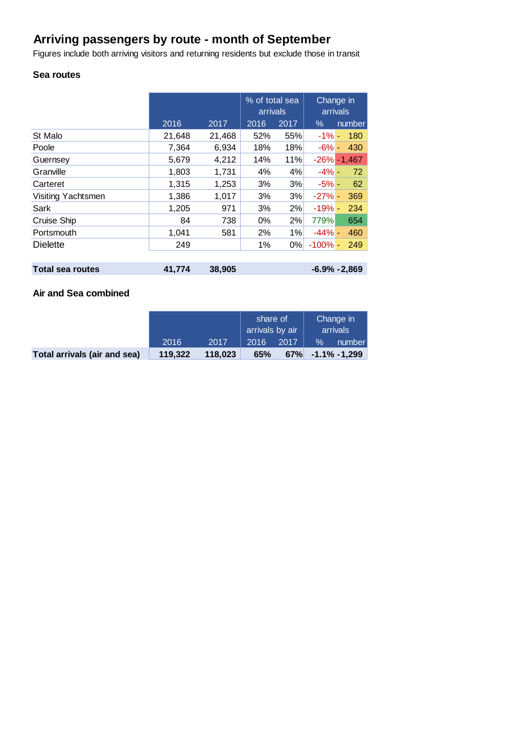# **Arriving passengers by route - month of September**

Figures include both arriving visitors and returning residents but exclude those in transit

# **Sea routes**

|                         |        |        | % of total sea<br>arrivals |      | Change in<br>arrivals |                 |
|-------------------------|--------|--------|----------------------------|------|-----------------------|-----------------|
|                         | 2016   | 2017   | 2016                       | 2017 | $\%$                  | number          |
| St Malo                 | 21,648 | 21,468 | 52%                        | 55%  | $-1\% -$              | 180             |
| Poole                   | 7,364  | 6,934  | 18%                        | 18%  | $-6% -$               | 430             |
| Guernsey                | 5,679  | 4,212  | 14%                        | 11%  |                       | $-26\% - 1,467$ |
| Granville               | 1,803  | 1,731  | 4%                         | 4%   | $-4% -$               | 72              |
| Carteret                | 1,315  | 1,253  | 3%                         | 3%   | $-5% -$               | 62              |
| Visiting Yachtsmen      | 1,386  | 1,017  | 3%                         | 3%   | $-27%$ -              | 369             |
| Sark                    | 1,205  | 971    | 3%                         | 2%   | $-19% -$              | 234             |
| Cruise Ship             | 84     | 738    | 0%                         | 2%   | 779%                  | 654             |
| Portsmouth              | 1,041  | 581    | 2%                         | 1%   | $-44% -$              | 460             |
| <b>Dielette</b>         | 249    |        | 1%                         | 0%   | $-100\%$ -            | 249             |
|                         |        |        |                            |      |                       |                 |
| <b>Total sea routes</b> | 41,774 | 38,905 | $-6.9\% -2.869$            |      |                       |                 |

## **Air and Sea combined**

|                              |         |         | share of<br>arrivals by air |      | Change in<br>arrivals |                     |
|------------------------------|---------|---------|-----------------------------|------|-----------------------|---------------------|
|                              | 2016    | 2017    | 2016                        | 2017 | $\%$                  | number              |
| Total arrivals (air and sea) | 119.322 | 118.023 | 65%                         |      |                       | $67\%$ -1.1% -1,299 |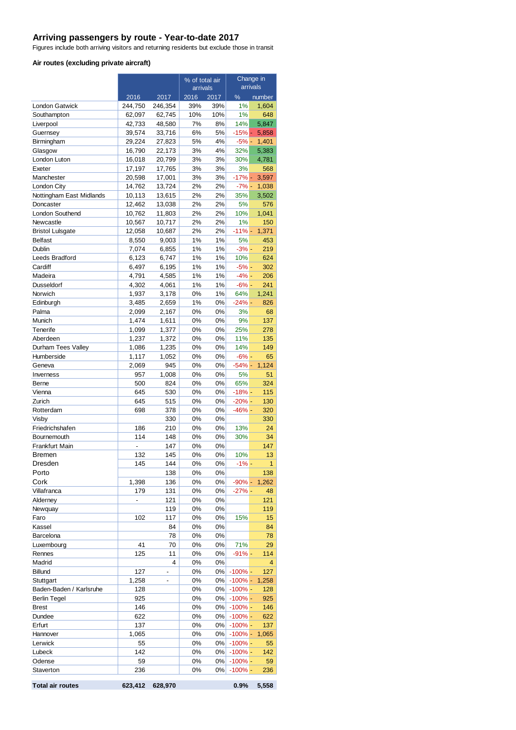### **Arriving passengers by route - Year-to-date 2017**

Figures include both arriving visitors and returning residents but exclude those in transit

#### **Air routes (excluding private aircraft)**

|                          | % of total air   |                  | Change in |          |                        |                |
|--------------------------|------------------|------------------|-----------|----------|------------------------|----------------|
|                          |                  |                  | arrivals  |          | arrivals               |                |
|                          | 2016             | 2017             | 2016      | 2017     | %                      | number         |
| <b>London Gatwick</b>    | 244,750          | 246,354          | 39%       | 39%      | 1%                     | 1,604          |
| Southampton              | 62,097           | 62,745           | 10%       | 10%      | 1%                     | 648            |
| Liverpool                | 42,733           | 48,580           | 7%        | 8%       | 14%                    | 5,847          |
| Guernsey                 | 39,574           | 33,716           | 6%        | 5%       | $-15% -$               | 5,858          |
| Birmingham               | 29,224           | 27,823           | 5%<br>3%  | 4%       | $-5% -$                | 1,401          |
| Glasgow<br>London Luton  | 16,790<br>16,018 | 22,173<br>20,799 | 3%        | 4%<br>3% | 32%<br>30%             | 5,383<br>4,781 |
| Exeter                   | 17,197           | 17,765           | 3%        | 3%       | 3%                     | 568            |
| Manchester               | 20,598           | 17,001           | 3%        | 3%       | $-17% -$               | 3,597          |
| London City              | 14,762           | 13,724           | 2%        | 2%       | $-7% -$                | 1,038          |
| Nottingham East Midlands | 10,113           | 13,615           | 2%        | 2%       | 35%                    | 3,502          |
| Doncaster                | 12,462           | 13,038           | 2%        | 2%       | 5%                     | 576            |
| London Southend          | 10,762           | 11,803           | 2%        | 2%       | 10%                    | 1,041          |
| Newcastle                | 10,567           | 10,717           | 2%        | 2%       | 1%                     | 150            |
| <b>Bristol Lulsgate</b>  | 12,058           | 10,687           | 2%        | 2%       | $-11% -$               | 1,371          |
| <b>Belfast</b>           | 8,550            | 9,003            | 1%        | 1%       | 5%                     | 453            |
| Dublin                   | 7,074            | 6,855            | 1%        | 1%       | $-3%$ -                | 219            |
| Leeds Bradford           | 6,123            | 6,747            | 1%        | 1%       | 10%                    | 624            |
| Cardiff                  | 6,497            | 6,195            | 1%        | 1%       | $-5%$ -                | 302            |
| Madeira                  | 4,791            | 4,585            | 1%        | 1%       | $-4% -$                | 206            |
| Dusseldorf               | 4,302            | 4,061            | 1%        | 1%       | $-6% -$                | 241            |
| Norwich                  | 1,937            | 3,178            | 0%        | 1%       | 64%                    | 1,241          |
| Edinburgh                | 3,485            | 2,659            | 1%        | 0%       | $-24% -$               | 826            |
| Palma                    | 2,099            | 2,167            | 0%        | 0%       | 3%                     | 68             |
| Munich                   | 1,474            | 1,611            | 0%        | 0%       | 9%                     | 137            |
| Tenerife                 | 1,099            | 1,377            | 0%        | 0%       | 25%                    | 278            |
| Aberdeen                 | 1,237            | 1,372            | 0%        | 0%       | 11%                    | 135            |
| Durham Tees Valley       | 1,086            | 1,235            | 0%        | 0%       | 14%                    | 149            |
| Humberside               | 1,117            | 1,052            | 0%        | 0%       | $-6% -$                | 65             |
| Geneva                   | 2,069            | 945              | 0%        | 0%       | $-54%$ -               | 1,124          |
| Inverness                | 957              | 1,008            | 0%        | 0%       | 5%                     | 51             |
| Berne                    | 500<br>645       | 824              | 0%<br>0%  | 0%       | 65%<br>$-18%$ -        | 324<br>115     |
| Vienna<br>Zurich         | 645              | 530<br>515       | 0%        | 0%<br>0% | $-20% -$               | 130            |
| Rotterdam                | 698              | 378              | 0%        | 0%       | $-46% -$               | 320            |
| Visby                    |                  | 330              | 0%        | 0%       |                        | 330            |
| Friedrichshafen          | 186              | 210              | 0%        | 0%       | 13%                    | 24             |
| Bournemouth              | 114              | 148              | 0%        | 0%       | 30%                    | 34             |
| <b>Frankfurt Main</b>    | $\frac{1}{2}$    | 147              | 0%        | 0%       |                        | 147            |
| Bremen                   | 132              | 145              | 0%        | 0%       | 10%                    | 13             |
| Dresden                  | 145              | 144              | 0%        | 0%       | -1% -                  |                |
| Porto                    |                  | 138              | 0%        | 0%       |                        | 138            |
| Cork                     | 1,398            | 136              | 0%        | 0%       | $-90% -$               | 1,262          |
| Villafranca              | 179              | 131              | 0%        | 0%       | $-27%$ -               | 48             |
| Alderney                 |                  | 121              | 0%        | 0%       |                        | 121            |
| Newquay                  |                  | 119              | 0%        | 0%       |                        | 119            |
| Faro                     | 102              | 117              | 0%        | 0%       | 15%                    | 15             |
| Kassel                   |                  | 84               | 0%        | 0%       |                        | 84             |
| Barcelona                |                  | 78               | 0%        | 0%       |                        | 78             |
| Luxembourg               | 41               | 70               | 0%        | 0%       | 71%                    | 29             |
| Rennes                   | 125              | 11               | 0%        | 0%       | $-91% -$               | 114            |
| Madrid                   |                  | 4                | 0%        | 0%       |                        | 4              |
| <b>Billund</b>           | 127              | $\overline{a}$   | 0%        | 0%       | $-100%$ -              | 127            |
| Stuttgart                | 1,258            | -                | 0%        | 0%       | $-100% -$              | 1,258          |
| Baden-Baden / Karlsruhe  | 128              |                  | 0%        | 0%       | $-100%$ -              | 128            |
| Berlin Tegel             | 925              |                  | 0%        | 0%       | $-100%$ -              | 925            |
| <b>Brest</b>             | 146              |                  | 0%        | 0%       | $-100%$ -              | 146            |
| Dundee                   | 622              |                  | 0%        | 0%       | $-100\%$ -             | 622            |
| Erfurt                   | 137<br>1,065     |                  | 0%<br>0%  | 0%<br>0% | $-100%$ -<br>$-100% -$ | 137<br>1,065   |
| Hannover<br>Lerwick      | 55               |                  | 0%        | 0%       | $-100%$ -              | 55             |
| Lubeck                   | 142              |                  | 0%        | 0%       | $-100%$ -              | 142            |
| Odense                   | 59               |                  | 0%        | 0%       | $-100%$ -              | 59             |
| Staverton                | 236              |                  | 0%        | 0%       | $-100% -$              | 236            |
|                          |                  |                  |           |          |                        |                |
| <b>Total air routes</b>  | 623,412          | 628,970          |           |          | 0.9%                   | 5,558          |